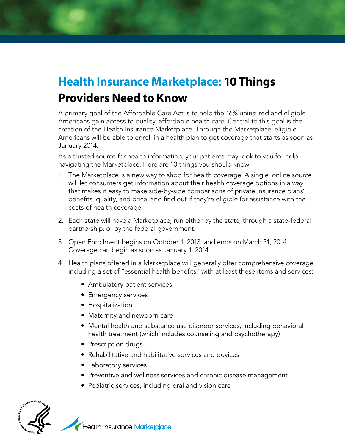## **Health Insurance Marketplace: 10 Things Providers Need to Know**

A primary goal of the Affordable Care Act is to help the 16% uninsured and eligible Americans gain access to quality, affordable health care. Central to this goal is the creation of the Health Insurance Marketplace. Through the Marketplace, eligible Americans will be able to enroll in a health plan to get coverage that starts as soon as January 2014.

As a trusted source for health information, your patients may look to you for help navigating the Marketplace. Here are 10 things you should know:

- 1. The Marketplace is a new way to shop for health coverage. A single, online source will let consumers get information about their health coverage options in a way that makes it easy to make side-by-side comparisons of private insurance plans' benefits, quality, and price, and find out if they're eligible for assistance with the costs of health coverage.
- 2. Each state will have a Marketplace, run either by the state, through a state-federal partnership, or by the federal government.
- 3. Open Enrollment begins on October 1, 2013, and ends on March 31, 2014. Coverage can begin as soon as January 1, 2014.
- 4. Health plans offered in a Marketplace will generally offer comprehensive coverage, including a set of "essential health benefits" with at least these items and services:
	- Ambulatory patient services
	- Emergency services
	- Hospitalization
	- Maternity and newborn care
	- Mental health and substance use disorder services, including behavioral health treatment (which includes counseling and psychotherapy)
	- Prescription drugs
	- Rehabilitative and habilitative services and devices
	- Laboratory services
	- Preventive and wellness services and chronic disease management
	- Pediatric services, including oral and vision care